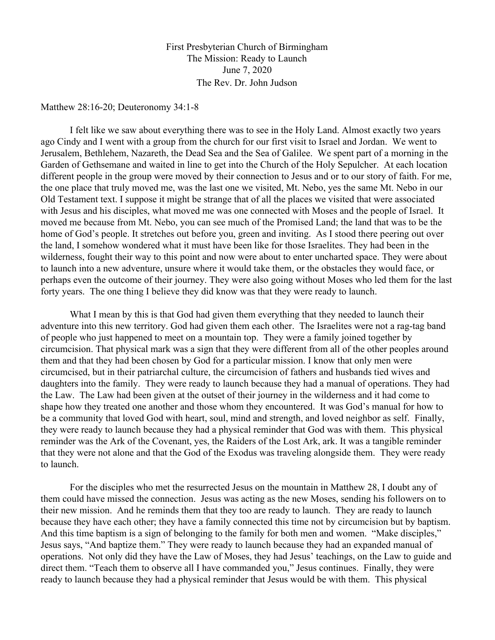First Presbyterian Church of Birmingham The Mission: Ready to Launch June 7, 2020 The Rev. Dr. John Judson

Matthew 28:16-20; Deuteronomy 34:1-8

I felt like we saw about everything there was to see in the Holy Land. Almost exactly two years ago Cindy and I went with a group from the church for our first visit to Israel and Jordan. We went to Jerusalem, Bethlehem, Nazareth, the Dead Sea and the Sea of Galilee. We spent part of a morning in the Garden of Gethsemane and waited in line to get into the Church of the Holy Sepulcher. At each location different people in the group were moved by their connection to Jesus and or to our story of faith. For me, the one place that truly moved me, was the last one we visited, Mt. Nebo, yes the same Mt. Nebo in our Old Testament text. I suppose it might be strange that of all the places we visited that were associated with Jesus and his disciples, what moved me was one connected with Moses and the people of Israel. It moved me because from Mt. Nebo, you can see much of the Promised Land; the land that was to be the home of God's people. It stretches out before you, green and inviting. As I stood there peering out over the land, I somehow wondered what it must have been like for those Israelites. They had been in the wilderness, fought their way to this point and now were about to enter uncharted space. They were about to launch into a new adventure, unsure where it would take them, or the obstacles they would face, or perhaps even the outcome of their journey. They were also going without Moses who led them for the last forty years. The one thing I believe they did know was that they were ready to launch.

What I mean by this is that God had given them everything that they needed to launch their adventure into this new territory. God had given them each other. The Israelites were not a rag-tag band of people who just happened to meet on a mountain top. They were a family joined together by circumcision. That physical mark was a sign that they were different from all of the other peoples around them and that they had been chosen by God for a particular mission. I know that only men were circumcised, but in their patriarchal culture, the circumcision of fathers and husbands tied wives and daughters into the family. They were ready to launch because they had a manual of operations. They had the Law. The Law had been given at the outset of their journey in the wilderness and it had come to shape how they treated one another and those whom they encountered. It was God's manual for how to be a community that loved God with heart, soul, mind and strength, and loved neighbor as self. Finally, they were ready to launch because they had a physical reminder that God was with them. This physical reminder was the Ark of the Covenant, yes, the Raiders of the Lost Ark, ark. It was a tangible reminder that they were not alone and that the God of the Exodus was traveling alongside them. They were ready to launch.

For the disciples who met the resurrected Jesus on the mountain in Matthew 28, I doubt any of them could have missed the connection. Jesus was acting as the new Moses, sending his followers on to their new mission. And he reminds them that they too are ready to launch. They are ready to launch because they have each other; they have a family connected this time not by circumcision but by baptism. And this time baptism is a sign of belonging to the family for both men and women. "Make disciples," Jesus says, "And baptize them." They were ready to launch because they had an expanded manual of operations. Not only did they have the Law of Moses, they had Jesus' teachings, on the Law to guide and direct them. "Teach them to observe all I have commanded you," Jesus continues. Finally, they were ready to launch because they had a physical reminder that Jesus would be with them. This physical